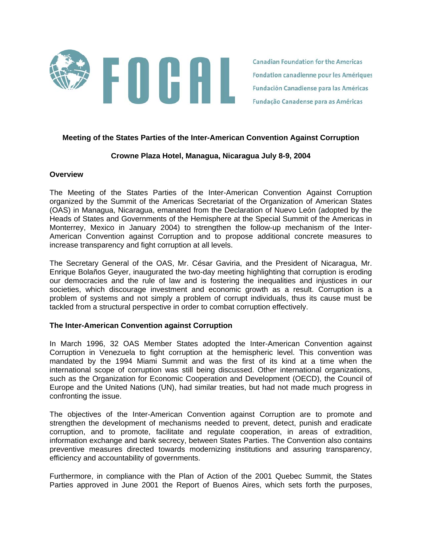

**Canadian Foundation for the Americas** Fondation canadienne pour les Amériques **Fundación Canadiense para las Américas** Fundação Canadense para as Américas

#### **Meeting of the States Parties of the Inter-American Convention Against Corruption**

# **Crowne Plaza Hotel, Managua, Nicaragua July 8-9, 2004**

#### **Overview**

The Meeting of the States Parties of the Inter-American Convention Against Corruption organized by the Summit of the Americas Secretariat of the Organization of American States (OAS) in Managua, Nicaragua, emanated from the Declaration of Nuevo León (adopted by the Heads of States and Governments of the Hemisphere at the Special Summit of the Americas in Monterrey, Mexico in January 2004) to strengthen the follow-up mechanism of the Inter-American Convention against Corruption and to propose additional concrete measures to increase transparency and fight corruption at all levels.

The Secretary General of the OAS, Mr. César Gaviria, and the President of Nicaragua, Mr. Enrique Bolaños Geyer, inaugurated the two-day meeting highlighting that corruption is eroding our democracies and the rule of law and is fostering the inequalities and injustices in our societies, which discourage investment and economic growth as a result. Corruption is a problem of systems and not simply a problem of corrupt individuals, thus its cause must be tackled from a structural perspective in order to combat corruption effectively.

### **The Inter-American Convention against Corruption**

In March 1996, 32 OAS Member States adopted the Inter-American Convention against Corruption in Venezuela to fight corruption at the hemispheric level. This convention was mandated by the 1994 Miami Summit and was the first of its kind at a time when the international scope of corruption was still being discussed. Other international organizations, such as the Organization for Economic Cooperation and Development (OECD), the Council of Europe and the United Nations (UN), had similar treaties, but had not made much progress in confronting the issue.

The objectives of the Inter-American Convention against Corruption are to promote and strengthen the development of mechanisms needed to prevent, detect, punish and eradicate corruption, and to promote, facilitate and regulate cooperation, in areas of extradition, information exchange and bank secrecy, between States Parties. The Convention also contains preventive measures directed towards modernizing institutions and assuring transparency, efficiency and accountability of governments.

Furthermore, in compliance with the Plan of Action of the 2001 Quebec Summit, the States Parties approved in June 2001 the Report of Buenos Aires, which sets forth the purposes,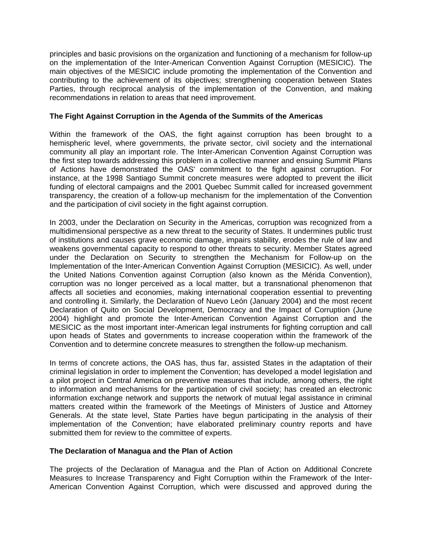principles and basic provisions on the organization and functioning of a mechanism for follow-up on the implementation of the Inter-American Convention Against Corruption (MESICIC). The main objectives of the MESICIC include promoting the implementation of the Convention and contributing to the achievement of its objectives; strengthening cooperation between States Parties, through reciprocal analysis of the implementation of the Convention, and making recommendations in relation to areas that need improvement.

# **The Fight Against Corruption in the Agenda of the Summits of the Americas**

Within the framework of the OAS, the fight against corruption has been brought to a hemispheric level, where governments, the private sector, civil society and the international community all play an important role. The Inter-American Convention Against Corruption was the first step towards addressing this problem in a collective manner and ensuing Summit Plans of Actions have demonstrated the OAS' commitment to the fight against corruption. For instance, at the 1998 Santiago Summit concrete measures were adopted to prevent the illicit funding of electoral campaigns and the 2001 Quebec Summit called for increased government transparency, the creation of a follow-up mechanism for the implementation of the Convention and the participation of civil society in the fight against corruption.

In 2003, under the Declaration on Security in the Americas, corruption was recognized from a multidimensional perspective as a new threat to the security of States. It undermines public trust of institutions and causes grave economic damage, impairs stability, erodes the rule of law and weakens governmental capacity to respond to other threats to security. Member States agreed under the Declaration on Security to strengthen the Mechanism for Follow-up on the Implementation of the Inter-American Convention Against Corruption (MESICIC). As well, under the United Nations Convention against Corruption (also known as the Mérida Convention), corruption was no longer perceived as a local matter, but a transnational phenomenon that affects all societies and economies, making international cooperation essential to preventing and controlling it. Similarly, the Declaration of Nuevo León (January 2004) and the most recent Declaration of Quito on Social Development, Democracy and the Impact of Corruption (June 2004) highlight and promote the Inter-American Convention Against Corruption and the MESICIC as the most important inter-American legal instruments for fighting corruption and call upon heads of States and governments to increase cooperation within the framework of the Convention and to determine concrete measures to strengthen the follow-up mechanism.

In terms of concrete actions, the OAS has, thus far, assisted States in the adaptation of their criminal legislation in order to implement the Convention; has developed a model legislation and a pilot project in Central America on preventive measures that include, among others, the right to information and mechanisms for the participation of civil society; has created an electronic information exchange network and supports the network of mutual legal assistance in criminal matters created within the framework of the Meetings of Ministers of Justice and Attorney Generals. At the state level, State Parties have begun participating in the analysis of their implementation of the Convention; have elaborated preliminary country reports and have submitted them for review to the committee of experts.

### **The Declaration of Managua and the Plan of Action**

The projects of the Declaration of Managua and the Plan of Action on Additional Concrete Measures to Increase Transparency and Fight Corruption within the Framework of the Inter-American Convention Against Corruption, which were discussed and approved during the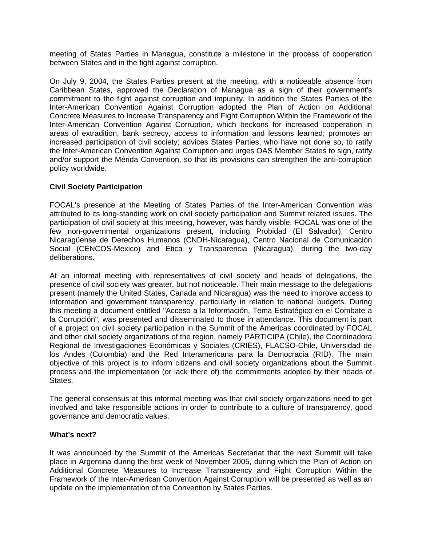meeting of States Parties in Managua, constitute a milestone in the process of cooperation between States and in the fight against corruption.

On July 9, 2004, the States Parties present at the meeting, with a noticeable absence from Caribbean States, approved the Declaration of Managua as a sign of their government's commitment to the fight against corruption and impunity. In addition the States Parties of the Inter-American Convention Against Corruption adopted the Plan of Action on Additional Concrete Measures to Increase Transparency and Fight Corruption Within the Framework of the Inter-American Convention Against Corruption, which beckons for increased cooperation in areas of extradition, bank secrecy, access to information and lessons learned; promotes an increased participation of civil society; advices States Parties, who have not done so, to ratify the Inter-American Convention Against Corruption and urges OAS Member States to sign, ratify and/or support the Mérida Convention, so that its provisions can strengthen the anti-corruption policy worldwide.

# **Civil Society Participation**

FOCAL's presence at the Meeting of States Parties of the Inter-American Convention was attributed to its long-standing work on civil society participation and Summit related issues. The participation of civil society at this meeting, however, was hardly visible. FOCAL was one of the few non-governmental organizations present, including Probidad (El Salvador), Centro Nicaragüense de Derechos Humanos (CNDH-Nicaragua), Centro Nacional de Comunicación Social (CENCOS-Mexico) and Ética y Transparencia (Nicaragua), during the two-day deliberations.

At an informal meeting with representatives of civil society and heads of delegations, the presence of civil society was greater, but not noticeable. Their main message to the delegations present (namely the United States, Canada and Nicaragua) was the need to improve access to information and government transparency, particularly in relation to national budgets. During this meeting a document entitled "Acceso a la Información, Tema Estratégico en el Combate a la Corrupción", was presented and disseminated to those in attendance. This document is part of a project on civil society participation in the Summit of the Americas coordinated by FOCAL and other civil society organizations of the region, namely PARTICIPA (Chile), the Coordinadora Regional de Investigaciones Económicas y Sociales (CRIES), FLACSO-Chile, Universidad de los Andes (Colombia) and the Red Interamericana para la Democracia (RID). The main objective of this project is to inform citizens and civil society organizations about the Summit process and the implementation (or lack there of) the commitments adopted by their heads of States.

The general consensus at this informal meeting was that civil society organizations need to get involved and take responsible actions in order to contribute to a culture of transparency, good governance and democratic values.

### **What's next?**

It was announced by the Summit of the Americas Secretariat that the next Summit will take place in Argentina during the first week of November 2005, during which the Plan of Action on Additional Concrete Measures to Increase Transparency and Fight Corruption Within the Framework of the Inter-American Convention Against Corruption will be presented as well as an update on the implementation of the Convention by States Parties.